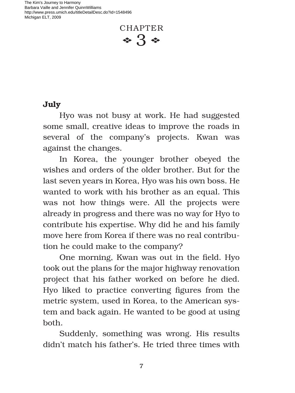The Kim's Journey to Harmony Barbara Vaille and Jennifer QuinnWilliams http://www.press.umich.edu/titleDetailDesc.do?id=1548496 Michigan ELT, 2009



## **July**

Hyo was not busy at work. He had suggested some small, creative ideas to improve the roads in several of the company's projects. Kwan was against the changes.

In Korea, the younger brother obeyed the wishes and orders of the older brother. But for the last seven years in Korea, Hyo was his own boss. He wanted to work with his brother as an equal. This was not how things were. All the projects were already in progress and there was no way for Hyo to contribute his expertise. Why did he and his family move here from Korea if there was no real contribution he could make to the company?

One morning, Kwan was out in the field. Hyo took out the plans for the major highway renovation project that his father worked on before he died. Hyo liked to practice converting figures from the metric system, used in Korea, to the American system and back again. He wanted to be good at using both.

Suddenly, something was wrong. His results didn't match his father's. He tried three times with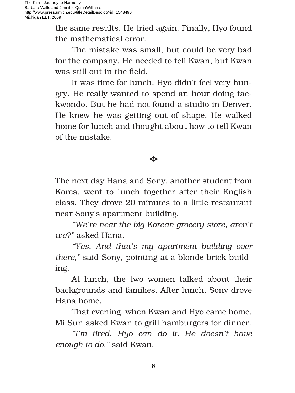the same results. He tried again. Finally, Hyo found the mathematical error.

The mistake was small, but could be very bad for the company. He needed to tell Kwan, but Kwan was still out in the field.

It was time for lunch. Hyo didn't feel very hungry. He really wanted to spend an hour doing taekwondo. But he had not found a studio in Denver. He knew he was getting out of shape. He walked home for lunch and thought about how to tell Kwan of the mistake.

## $\mathcal{L}$

The next day Hana and Sony, another student from Korea, went to lunch together after their English class. They drove 20 minutes to a little restaurant near Sony's apartment building.

*"We're near the big Korean grocery store, aren't we?"* asked Hana.

*"Yes. And that's my apartment building over there,"* said Sony*,* pointing at a blonde brick building.

At lunch, the two women talked about their backgrounds and families. After lunch, Sony drove Hana home.

That evening, when Kwan and Hyo came home, Mi Sun asked Kwan to grill hamburgers for dinner.

*"I'm tired. Hyo can do it. He doesn't have enough to do,"* said Kwan.